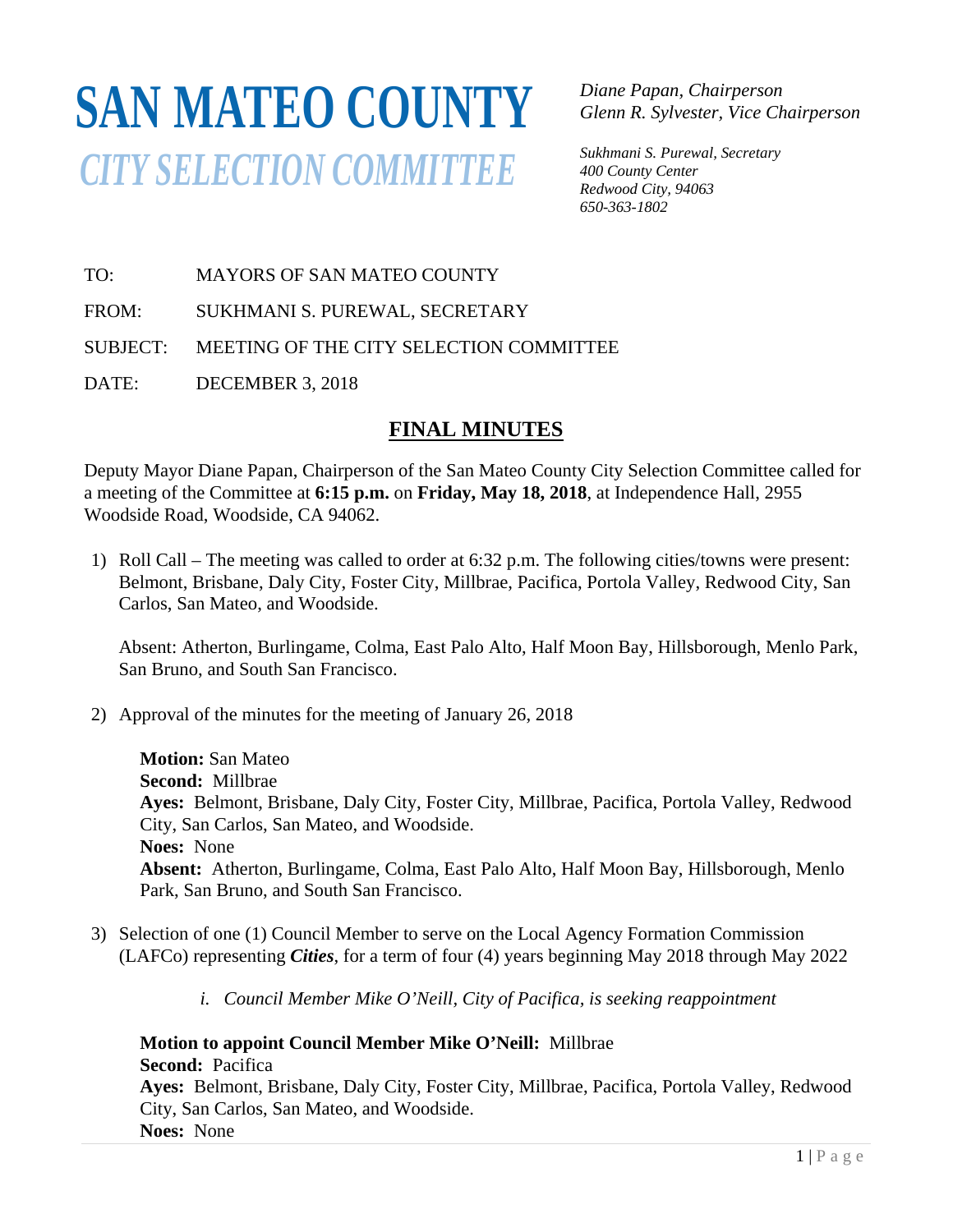## **SAN MATEO COUNTY** *CITY SELECTION COMMITTEE*

*Diane Papan, Chairperson Glenn R. Sylvester, Vice Chairperson* 

*Sukhmani S. Purewal, Secretary 400 County Center Redwood City, 94063 650-363-1802*

TO: MAYORS OF SAN MATEO COUNTY

FROM: SUKHMANI S. PUREWAL, SECRETARY

SUBJECT: MEETING OF THE CITY SELECTION COMMITTEE

DATE: DECEMBER 3, 2018

## **FINAL MINUTES**

Deputy Mayor Diane Papan, Chairperson of the San Mateo County City Selection Committee called for a meeting of the Committee at **6:15 p.m.** on **Friday, May 18, 2018**, at Independence Hall, 2955 Woodside Road, Woodside, CA 94062.

1) Roll Call – The meeting was called to order at 6:32 p.m. The following cities/towns were present: Belmont, Brisbane, Daly City, Foster City, Millbrae, Pacifica, Portola Valley, Redwood City, San Carlos, San Mateo, and Woodside.

Absent: Atherton, Burlingame, Colma, East Palo Alto, Half Moon Bay, Hillsborough, Menlo Park, San Bruno, and South San Francisco.

2) Approval of the minutes for the meeting of January 26, 2018

**Motion:** San Mateo **Second:** Millbrae **Ayes:** Belmont, Brisbane, Daly City, Foster City, Millbrae, Pacifica, Portola Valley, Redwood City, San Carlos, San Mateo, and Woodside. **Noes:** None **Absent:** Atherton, Burlingame, Colma, East Palo Alto, Half Moon Bay, Hillsborough, Menlo Park, San Bruno, and South San Francisco.

- 3) Selection of one (1) Council Member to serve on the Local Agency Formation Commission (LAFCo) representing *Cities*, for a term of four (4) years beginning May 2018 through May 2022
	- *i. Council Member Mike O'Neill, City of Pacifica, is seeking reappointment*

**Motion to appoint Council Member Mike O'Neill:** Millbrae **Second:** Pacifica **Ayes:** Belmont, Brisbane, Daly City, Foster City, Millbrae, Pacifica, Portola Valley, Redwood City, San Carlos, San Mateo, and Woodside. **Noes:** None